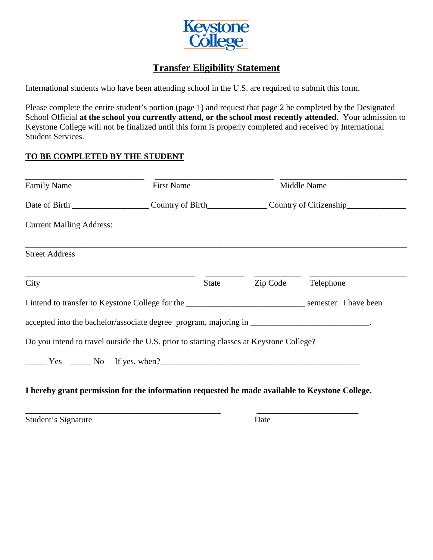

## **Transfer Eligibility Statement**

International students who have been attending school in the U.S. are required to submit this form.

Please complete the entire student's portion (page 1) and request that page 2 be completed by the Designated School Official **at the school you currently attend, or the school most recently attended**. Your admission to Keystone College will not be finalized until this form is properly completed and received by International Student Services.

## **TO BE COMPLETED BY THE STUDENT**

| <b>Family Name</b>                                                                      | <b>First Name</b> |              | Middle Name |           |
|-----------------------------------------------------------------------------------------|-------------------|--------------|-------------|-----------|
| Date of Birth Country of Birth Country of Birth Country of Citizenship                  |                   |              |             |           |
| <b>Current Mailing Address:</b>                                                         |                   |              |             |           |
| <b>Street Address</b>                                                                   |                   |              |             |           |
| City                                                                                    |                   | <b>State</b> | Zip Code    | Telephone |
|                                                                                         |                   |              |             |           |
|                                                                                         |                   |              |             |           |
| Do you intend to travel outside the U.S. prior to starting classes at Keystone College? |                   |              |             |           |
| $\frac{1}{1}$ Yes $\frac{1}{1}$ No If yes, when?                                        |                   |              |             |           |

## **I hereby grant permission for the information requested be made available to Keystone College.**

\_\_\_\_\_\_\_\_\_\_\_\_\_\_\_\_\_\_\_\_\_\_\_\_\_\_\_\_\_\_\_\_\_\_\_\_\_\_\_\_\_\_\_\_\_\_ \_\_\_\_\_\_\_\_\_\_\_\_\_\_\_\_\_\_\_\_\_\_\_\_

Student's Signature Date